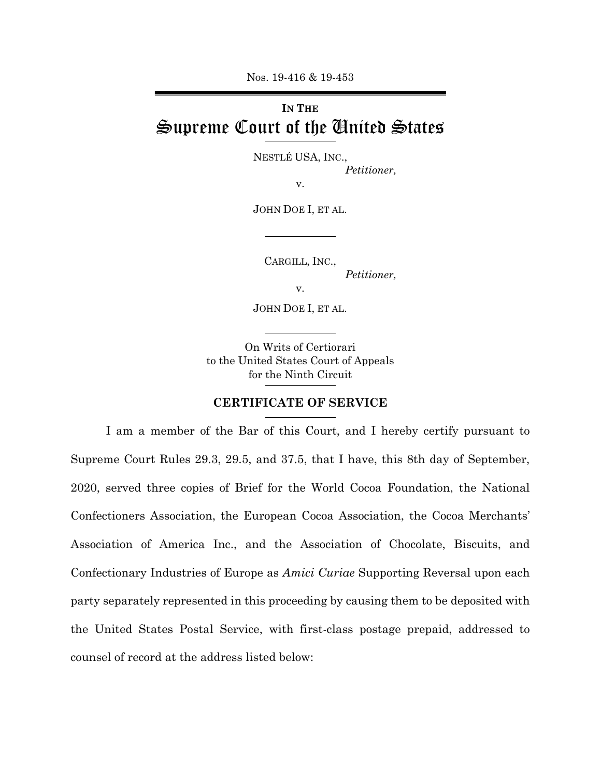Nos. 19-416 & 19-453

## **IN THE** Supreme Court of the United States

NESTLÉ USA, INC.,

*Petitioner,* 

v.

JOHN DOE I, ET AL.

CARGILL, INC.,

*Petitioner,* 

v.

JOHN DOE I, ET AL.

On Writs of Certiorari to the United States Court of Appeals for the Ninth Circuit

## **CERTIFICATE OF SERVICE**

I am a member of the Bar of this Court, and I hereby certify pursuant to Supreme Court Rules 29.3, 29.5, and 37.5, that I have, this 8th day of September, 2020, served three copies of Brief for the World Cocoa Foundation, the National Confectioners Association, the European Cocoa Association, the Cocoa Merchants' Association of America Inc., and the Association of Chocolate, Biscuits, and Confectionary Industries of Europe as *Amici Curiae* Supporting Reversal upon each party separately represented in this proceeding by causing them to be deposited with the United States Postal Service, with first-class postage prepaid, addressed to counsel of record at the address listed below: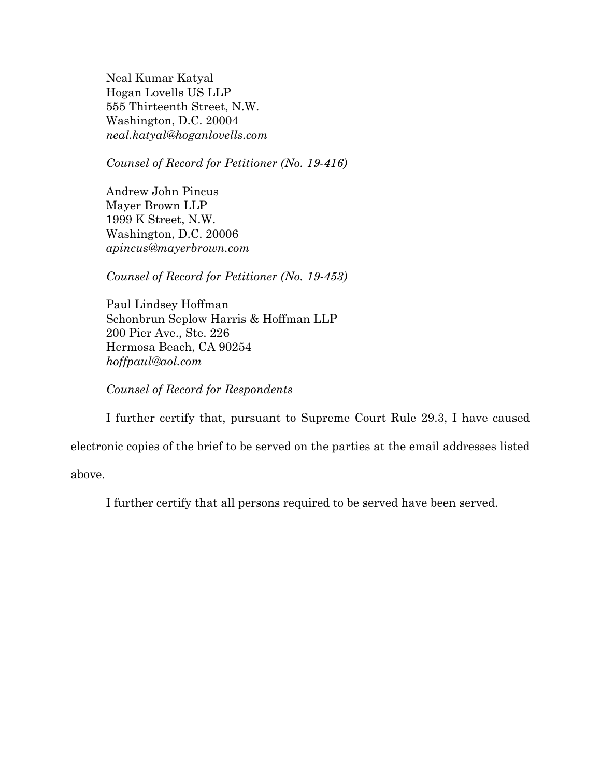Neal Kumar Katyal Hogan Lovells US LLP 555 Thirteenth Street, N.W. Washington, D.C. 20004 *neal.katyal@hoganlovells.com* 

*Counsel of Record for Petitioner (No. 19-416)*

Andrew John Pincus Mayer Brown LLP 1999 K Street, N.W. Washington, D.C. 20006 *apincus@mayerbrown.com* 

*Counsel of Record for Petitioner (No. 19-453)* 

Paul Lindsey Hoffman Schonbrun Seplow Harris & Hoffman LLP 200 Pier Ave., Ste. 226 Hermosa Beach, CA 90254 *hoffpaul@aol.com* 

*Counsel of Record for Respondents*

I further certify that, pursuant to Supreme Court Rule 29.3, I have caused

electronic copies of the brief to be served on the parties at the email addresses listed

above.

I further certify that all persons required to be served have been served.